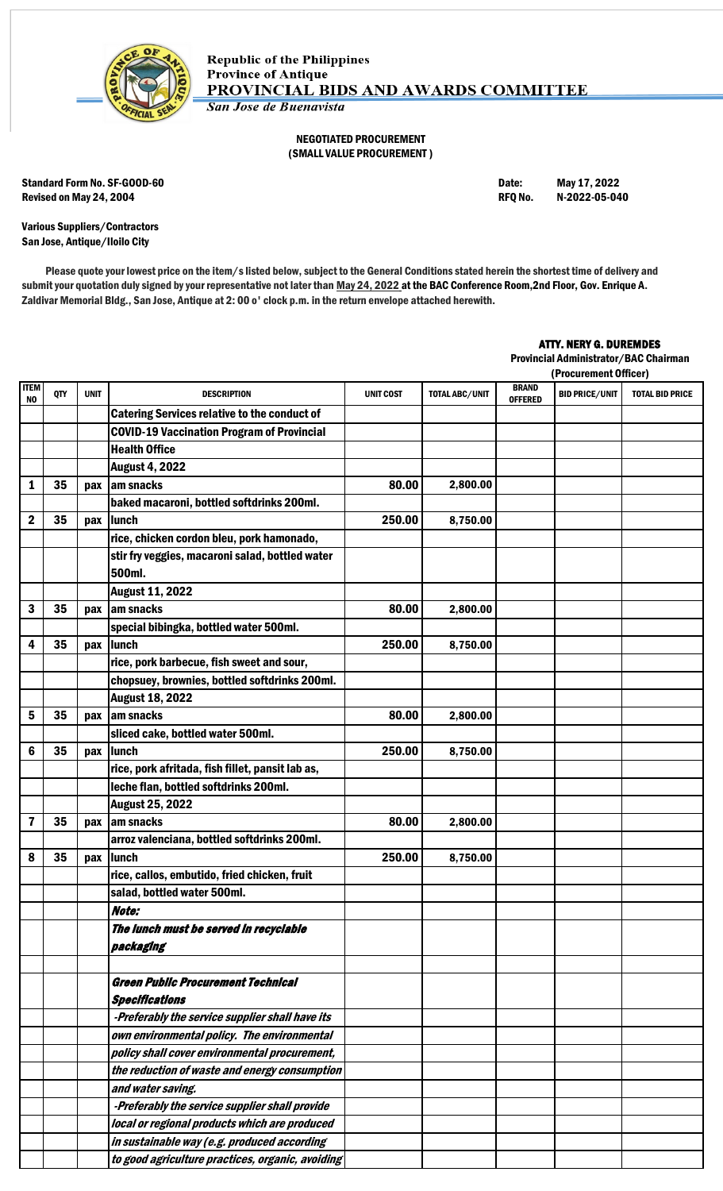

## NEGOTIATED PROCUREMENT (SMALL VALUE PROCUREMENT )

Standard Form No. SF-GOOD-60 **Date:** May 17, 2022 Revised on May 24, 2004 **RFQ No. 2022-05-040** RFQ No. 2022-05-040

Various Suppliers/Contractors San Jose, Antique/Iloilo City

Please quote your lowest price on the item/s listed below, subject to the General Conditions stated herein the shortest time of delivery and submit your quotation duly signed by your representative not later than May 24, 2022 at the BAC Conference Room, 2nd Floor, Gov. Enrique A. Zaldivar Memorial Bldg., San Jose, Antique at 2: 00 o' clock p.m. in the return envelope attached herewith.

## ATTY. NERY G. DUREMDES

Provincial Administrator/BAC Chairman

|                   |            |             |                                                           |                  |                |                                | (Procurement Officer) |                        |
|-------------------|------------|-------------|-----------------------------------------------------------|------------------|----------------|--------------------------------|-----------------------|------------------------|
| <b>ITEM</b><br>NO | <b>QTY</b> | <b>UNIT</b> | <b>DESCRIPTION</b>                                        | <b>UNIT COST</b> | TOTAL ABC/UNIT | <b>BRAND</b><br><b>OFFERED</b> | <b>BID PRICE/UNIT</b> | <b>TOTAL BID PRICE</b> |
|                   |            |             | <b>Catering Services relative to the conduct of</b>       |                  |                |                                |                       |                        |
|                   |            |             | <b>COVID-19 Vaccination Program of Provincial</b>         |                  |                |                                |                       |                        |
|                   |            |             | <b>Health Office</b>                                      |                  |                |                                |                       |                        |
|                   |            |             | <b>August 4, 2022</b>                                     |                  |                |                                |                       |                        |
| 1                 | 35         | pax         | am snacks                                                 | 80.00            | 2,800.00       |                                |                       |                        |
|                   |            |             | baked macaroni, bottled softdrinks 200ml.                 |                  |                |                                |                       |                        |
| $\mathbf 2$       | 35         | pax         | <b>Ilunch</b>                                             | 250.00           | 8,750.00       |                                |                       |                        |
|                   |            |             | rice, chicken cordon bleu, pork hamonado,                 |                  |                |                                |                       |                        |
|                   |            |             | stir fry veggies, macaroni salad, bottled water<br>500ml. |                  |                |                                |                       |                        |
|                   |            |             | <b>August 11, 2022</b>                                    |                  |                |                                |                       |                        |
| 3                 | 35         | pax         | am snacks                                                 | 80.00            | 2,800.00       |                                |                       |                        |
|                   |            |             | special bibingka, bottled water 500ml.                    |                  |                |                                |                       |                        |
| 4                 | 35         | pax         | <b>Ilunch</b>                                             | 250.00           | 8,750.00       |                                |                       |                        |
|                   |            |             | rice, pork barbecue, fish sweet and sour,                 |                  |                |                                |                       |                        |
|                   |            |             | chopsuey, brownies, bottled softdrinks 200ml.             |                  |                |                                |                       |                        |
|                   |            |             | <b>August 18, 2022</b>                                    |                  |                |                                |                       |                        |
| 5                 | 35         | pax         | am snacks                                                 | 80.00            | 2,800.00       |                                |                       |                        |
|                   |            |             | sliced cake, bottled water 500ml.                         |                  |                |                                |                       |                        |
| 6                 | 35         | pax         | <b>Ilunch</b>                                             | 250.00           | 8,750.00       |                                |                       |                        |
|                   |            |             | rice, pork afritada, fish fillet, pansit lab as,          |                  |                |                                |                       |                        |
|                   |            |             | leche flan, bottled softdrinks 200ml.                     |                  |                |                                |                       |                        |
|                   |            |             | <b>August 25, 2022</b>                                    |                  |                |                                |                       |                        |
| 7                 | 35         | pax         | am snacks                                                 | 80.00            | 2,800.00       |                                |                       |                        |
|                   |            |             | arroz valenciana, bottled softdrinks 200ml.               |                  |                |                                |                       |                        |
| 8                 | 35         | pax         | <b>Ilunch</b>                                             | 250.00           | 8,750.00       |                                |                       |                        |
|                   |            |             | rice, callos, embutido, fried chicken, fruit              |                  |                |                                |                       |                        |
|                   |            |             | salad, bottled water 500ml.                               |                  |                |                                |                       |                        |
|                   |            |             | Note:                                                     |                  |                |                                |                       |                        |
|                   |            |             | The lunch must be served in recyclable                    |                  |                |                                |                       |                        |
|                   |            |             | packaging                                                 |                  |                |                                |                       |                        |
|                   |            |             |                                                           |                  |                |                                |                       |                        |
|                   |            |             | <b>Green Public Procurement Technical</b>                 |                  |                |                                |                       |                        |
|                   |            |             | <b>Specifications</b>                                     |                  |                |                                |                       |                        |
|                   |            |             | -Preferably the service supplier shall have its           |                  |                |                                |                       |                        |
|                   |            |             | own environmental policy. The environmental               |                  |                |                                |                       |                        |
|                   |            |             | policy shall cover environmental procurement,             |                  |                |                                |                       |                        |
|                   |            |             | the reduction of waste and energy consumption             |                  |                |                                |                       |                        |
|                   |            |             | and water saving.                                         |                  |                |                                |                       |                        |
|                   |            |             | -Preferably the service supplier shall provide            |                  |                |                                |                       |                        |
|                   |            |             | local or regional products which are produced             |                  |                |                                |                       |                        |
|                   |            |             | in sustainable way (e.g. produced according               |                  |                |                                |                       |                        |
|                   |            |             | to good agriculture practices, organic, avoiding          |                  |                |                                |                       |                        |